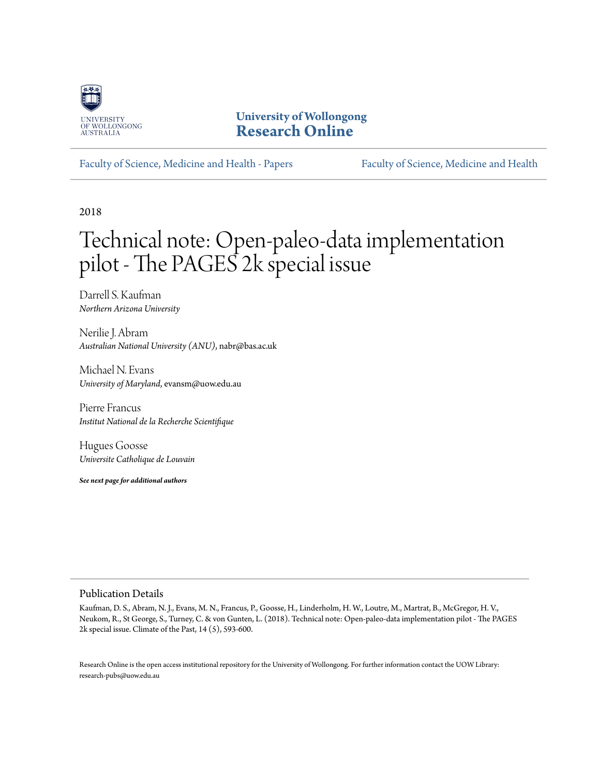

### **University of Wollongong [Research Online](http://ro.uow.edu.au)**

[Faculty of Science, Medicine and Health - Papers](http://ro.uow.edu.au/smhpapers) [Faculty of Science, Medicine and Health](http://ro.uow.edu.au/smh)

2018

# Technical note: Open-paleo-data implementation pilot - The PAGES 2k special issue

Darrell S. Kaufman *Northern Arizona University*

Nerilie J. Abram *Australian National University (ANU)*, nabr@bas.ac.uk

Michael N. Evans *University of Maryland*, evansm@uow.edu.au

Pierre Francus *Institut National de la Recherche Scientifique*

Hugues Goosse *Universite Catholique de Louvain*

*See next page for additional authors*

#### Publication Details

Kaufman, D. S., Abram, N. J., Evans, M. N., Francus, P., Goosse, H., Linderholm, H. W., Loutre, M., Martrat, B., McGregor, H. V., Neukom, R., St George, S., Turney, C. & von Gunten, L. (2018). Technical note: Open-paleo-data implementation pilot - The PAGES 2k special issue. Climate of the Past, 14 (5), 593-600.

Research Online is the open access institutional repository for the University of Wollongong. For further information contact the UOW Library: research-pubs@uow.edu.au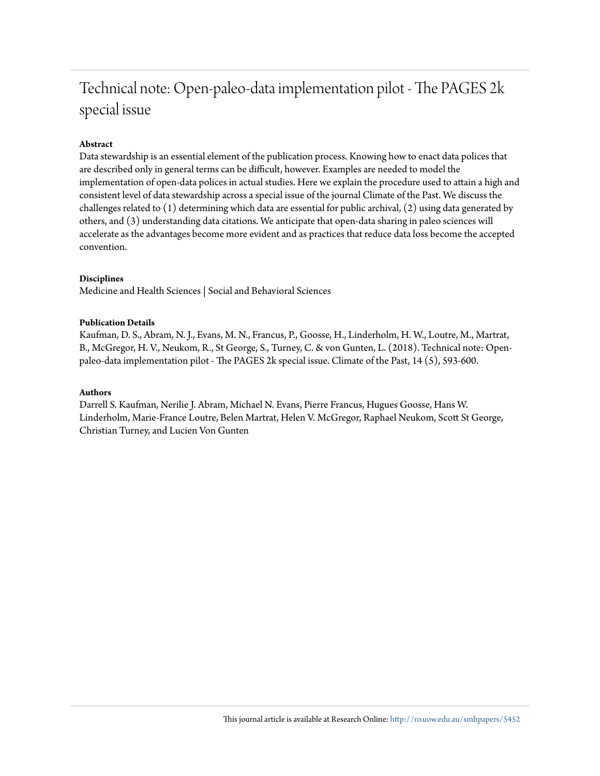## Technical note: Open-paleo-data implementation pilot - The PAGES 2k special issue

#### **Abstract**

Data stewardship is an essential element of the publication process. Knowing how to enact data polices that are described only in general terms can be difficult, however. Examples are needed to model the implementation of open-data polices in actual studies. Here we explain the procedure used to attain a high and consistent level of data stewardship across a special issue of the journal Climate of the Past. We discuss the challenges related to (1) determining which data are essential for public archival, (2) using data generated by others, and (3) understanding data citations. We anticipate that open-data sharing in paleo sciences will accelerate as the advantages become more evident and as practices that reduce data loss become the accepted convention.

#### **Disciplines**

Medicine and Health Sciences | Social and Behavioral Sciences

#### **Publication Details**

Kaufman, D. S., Abram, N. J., Evans, M. N., Francus, P., Goosse, H., Linderholm, H. W., Loutre, M., Martrat, B., McGregor, H. V., Neukom, R., St George, S., Turney, C. & von Gunten, L. (2018). Technical note: Openpaleo-data implementation pilot - The PAGES 2k special issue. Climate of the Past, 14 (5), 593-600.

#### **Authors**

Darrell S. Kaufman, Nerilie J. Abram, Michael N. Evans, Pierre Francus, Hugues Goosse, Hans W. Linderholm, Marie-France Loutre, Belen Martrat, Helen V. McGregor, Raphael Neukom, Scott St George, Christian Turney, and Lucien Von Gunten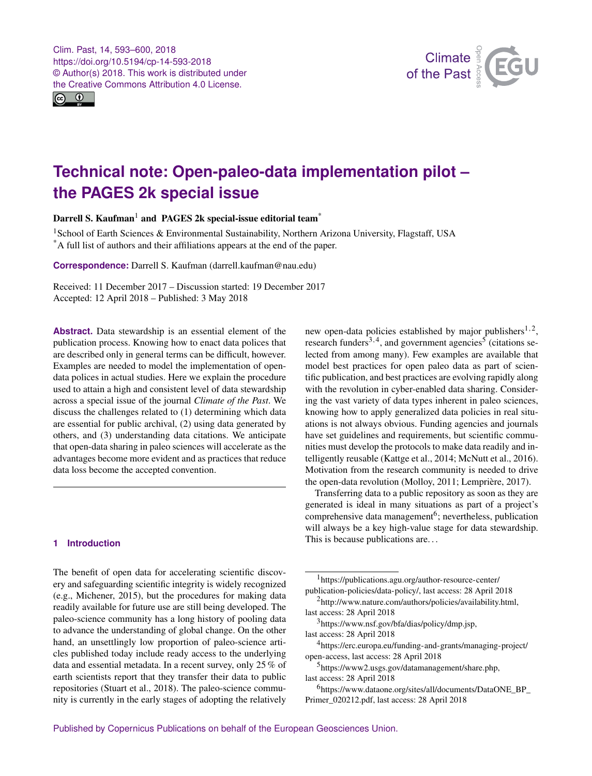<span id="page-2-1"></span>Clim. Past, 14, 593–600, 2018 https://doi.org/10.5194/cp-14-593-2018 © Author(s) 2018. This work is distributed under the Creative Commons Attribution 4.0 License.





### **Technical note: Open-paleo-data implementation pilot – the PAGES 2k special issue**

Darrell S. Kaufman<sup>[1](#page-2-0)</sup> and PAGES 2k special-issue editorial team<sup>[\\*](#page-2-0)</sup>

<sup>1</sup>School of Earth Sciences & Environmental Sustainability, Northern Arizona University, Flagstaff, USA \*A full list of authors and their affiliations appears at the end of the paper.

**Correspondence:** Darrell S. Kaufman (darrell.kaufman@nau.edu)

Received: 11 December 2017 – Discussion started: 19 December 2017 Accepted: 12 April 2018 – Published: 3 May 2018

<span id="page-2-0"></span>**Abstract.** Data stewardship is an essential element of the publication process. Knowing how to enact data polices that are described only in general terms can be difficult, however. Examples are needed to model the implementation of opendata polices in actual studies. Here we explain the procedure used to attain a high and consistent level of data stewardship across a special issue of the journal *Climate of the Past*. We discuss the challenges related to (1) determining which data are essential for public archival, (2) using data generated by others, and (3) understanding data citations. We anticipate that open-data sharing in paleo sciences will accelerate as the advantages become more evident and as practices that reduce data loss become the accepted convention.

#### **1 Introduction**

The benefit of open data for accelerating scientific discovery and safeguarding scientific integrity is widely recognized (e.g., Michener, 2015), but the procedures for making data readily available for future use are still being developed. The paleo-science community has a long history of pooling data to advance the understanding of global change. On the other hand, an unsettlingly low proportion of paleo-science articles published today include ready access to the underlying data and essential metadata. In a recent survey, only 25 % of earth scientists report that they transfer their data to public repositories (Stuart et al., 2018). The paleo-science community is currently in the early stages of adopting the relatively

new open-data policies established by major publishers<sup>1,2</sup>, research funders<sup>3,4</sup>, and government agencies<sup>5</sup> (citations selected from among many). Few examples are available that model best practices for open paleo data as part of scientific publication, and best practices are evolving rapidly along with the revolution in cyber-enabled data sharing. Considering the vast variety of data types inherent in paleo sciences, knowing how to apply generalized data policies in real situations is not always obvious. Funding agencies and journals have set guidelines and requirements, but scientific communities must develop the protocols to make data readily and intelligently reusable (Kattge et al., 2014; McNutt et al., 2016). Motivation from the research community is needed to drive the open-data revolution (Molloy, 2011; Lemprière, 2017).

Transferring data to a public repository as soon as they are generated is ideal in many situations as part of a project's comprehensive data management<sup>6</sup>; nevertheless, publication will always be a key high-value stage for data stewardship. This is because publications are. . .

<sup>2</sup>[http://www.nature.com/authors/policies/availability.html,](http://www.nature.com/authors/policies/availability.html) last access: 28 April 2018

<sup>1</sup>[https://publications.agu.org/author-resource-center/](https://publications.agu.org/author-resource-center/publication-policies/data-policy/) [publication-policies/data-policy/,](https://publications.agu.org/author-resource-center/publication-policies/data-policy/) last access: 28 April 2018

<sup>3</sup>[https://www.nsf.gov/bfa/dias/policy/dmp.jsp,](https://www.nsf.gov/bfa/dias/policy/dmp.jsp) last access: 28 April 2018

<sup>4</sup>[https://erc.europa.eu/funding-and-grants/managing-project/](https://erc.europa.eu/funding-and-grants/managing-project/open-access) [open-access,](https://erc.europa.eu/funding-and-grants/managing-project/open-access) last access: 28 April 2018

<sup>5</sup>[https://www2.usgs.gov/datamanagement/share.php,](https://www2.usgs.gov/datamanagement/share.php) last access: 28 April 2018

<sup>&</sup>lt;sup>6</sup>[https://www.dataone.org/sites/all/documents/DataONE\\_BP\\_](https://www.dataone.org/sites/all/documents/DataONE_BP_Primer_020212.pdf) [Primer\\_020212.pdf,](https://www.dataone.org/sites/all/documents/DataONE_BP_Primer_020212.pdf) last access: 28 April 2018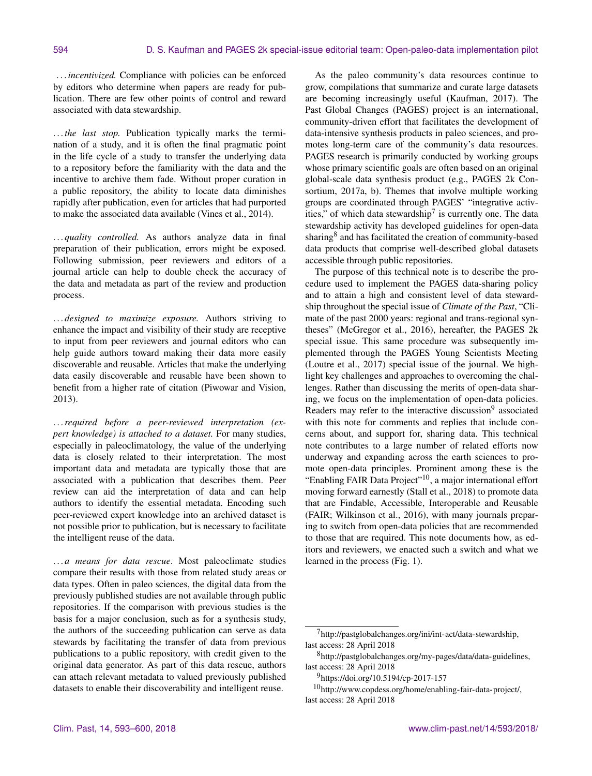. . . *incentivized.* Compliance with policies can be enforced by editors who determine when papers are ready for publication. There are few other points of control and reward associated with data stewardship.

...*the last stop*. Publication typically marks the termination of a study, and it is often the final pragmatic point in the life cycle of a study to transfer the underlying data to a repository before the familiarity with the data and the incentive to archive them fade. Without proper curation in a public repository, the ability to locate data diminishes rapidly after publication, even for articles that had purported to make the associated data available (Vines et al., 2014).

. . . *quality controlled.* As authors analyze data in final preparation of their publication, errors might be exposed. Following submission, peer reviewers and editors of a journal article can help to double check the accuracy of the data and metadata as part of the review and production process.

. . . *designed to maximize exposure.* Authors striving to enhance the impact and visibility of their study are receptive to input from peer reviewers and journal editors who can help guide authors toward making their data more easily discoverable and reusable. Articles that make the underlying data easily discoverable and reusable have been shown to benefit from a higher rate of citation (Piwowar and Vision, 2013).

. . .*required before a peer-reviewed interpretation (expert knowledge) is attached to a dataset.* For many studies, especially in paleoclimatology, the value of the underlying data is closely related to their interpretation. The most important data and metadata are typically those that are associated with a publication that describes them. Peer review can aid the interpretation of data and can help authors to identify the essential metadata. Encoding such peer-reviewed expert knowledge into an archived dataset is not possible prior to publication, but is necessary to facilitate the intelligent reuse of the data.

. . . *a means for data rescue*. Most paleoclimate studies compare their results with those from related study areas or data types. Often in paleo sciences, the digital data from the previously published studies are not available through public repositories. If the comparison with previous studies is the basis for a major conclusion, such as for a synthesis study, the authors of the succeeding publication can serve as data stewards by facilitating the transfer of data from previous publications to a public repository, with credit given to the original data generator. As part of this data rescue, authors can attach relevant metadata to valued previously published datasets to enable their discoverability and intelligent reuse.

As the paleo community's data resources continue to grow, compilations that summarize and curate large datasets are becoming increasingly useful (Kaufman, 2017). The Past Global Changes (PAGES) project is an international, community-driven effort that facilitates the development of data-intensive synthesis products in paleo sciences, and promotes long-term care of the community's data resources. PAGES research is primarily conducted by working groups whose primary scientific goals are often based on an original global-scale data synthesis product (e.g., PAGES 2k Consortium, 2017a, b). Themes that involve multiple working groups are coordinated through PAGES' "integrative activities," of which data stewardship<sup>7</sup> is currently one. The data stewardship activity has developed guidelines for open-data sharing<sup>8</sup> and has facilitated the creation of community-based data products that comprise well-described global datasets accessible through public repositories.

The purpose of this technical note is to describe the procedure used to implement the PAGES data-sharing policy and to attain a high and consistent level of data stewardship throughout the special issue of *Climate of the Past*, "Climate of the past 2000 years: regional and trans-regional syntheses" (McGregor et al., 2016), hereafter, the PAGES 2k special issue. This same procedure was subsequently implemented through the PAGES Young Scientists Meeting (Loutre et al., 2017) special issue of the journal. We highlight key challenges and approaches to overcoming the challenges. Rather than discussing the merits of open-data sharing, we focus on the implementation of open-data policies. Readers may refer to the interactive discussion<sup>9</sup> associated with this note for comments and replies that include concerns about, and support for, sharing data. This technical note contributes to a large number of related efforts now underway and expanding across the earth sciences to promote open-data principles. Prominent among these is the "Enabling FAIR Data Project"10, a major international effort moving forward earnestly (Stall et al., 2018) to promote data that are Findable, Accessible, Interoperable and Reusable (FAIR; Wilkinson et al., 2016), with many journals preparing to switch from open-data policies that are recommended to those that are required. This note documents how, as editors and reviewers, we enacted such a switch and what we learned in the process (Fig. 1).

<sup>&</sup>lt;sup>7</sup>[http://pastglobalchanges.org/ini/int-act/data-stewardship,](http://pastglobalchanges.org/ini/int-act/data-stewardship) last access: 28 April 2018

<sup>8</sup>[http://pastglobalchanges.org/my-pages/data/data-guidelines,](http://pastglobalchanges.org/my-pages/data/data-guidelines) last access: 28 April 2018

<sup>9</sup>https://doi.org[/10.5194/cp-2017-157](https://doi.org/10.5194/cp-2017-157)

<sup>10</sup>[http://www.copdess.org/home/enabling-fair-data-project/,](http://www.copdess.org/home/enabling-fair-data-project/) last access: 28 April 2018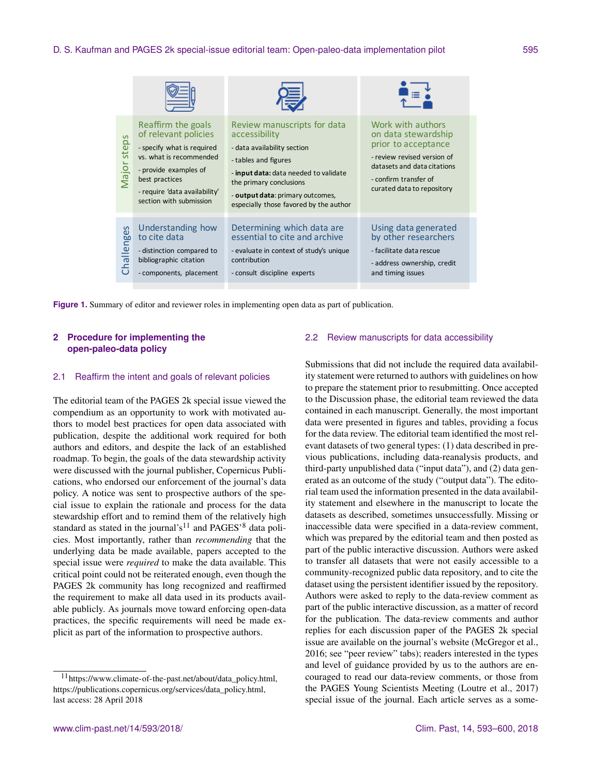| <b>Major steps</b> | Reaffirm the goals<br>of relevant policies<br>- specify what is required<br>vs. what is recommended<br>- provide examples of<br>best practices<br>- require 'data availability'<br>section with submission | Review manuscripts for data<br>accessibility<br>- data availability section<br>- tables and figures<br>- input data: data needed to validate<br>the primary conclusions<br>- output data: primary outcomes,<br>especially those favored by the author | Work with authors<br>on data stewardship<br>prior to acceptance<br>- review revised version of<br>datasets and data citations<br>- confirm transfer of<br>curated data to repository |
|--------------------|------------------------------------------------------------------------------------------------------------------------------------------------------------------------------------------------------------|-------------------------------------------------------------------------------------------------------------------------------------------------------------------------------------------------------------------------------------------------------|--------------------------------------------------------------------------------------------------------------------------------------------------------------------------------------|
| Challenges         | <b>Understanding how</b><br>to cite data<br>- distinction compared to<br>bibliographic citation<br>- components, placement                                                                                 | Determining which data are<br>essential to cite and archive<br>- evaluate in context of study's unique<br>contribution<br>- consult discipline experts                                                                                                | Using data generated<br>by other researchers<br>- facilitate data rescue<br>- address ownership, credit<br>and timing issues                                                         |

Figure 1. Summary of editor and reviewer roles in implementing open data as part of publication.

#### **2 Procedure for implementing the open-paleo-data policy**

#### 2.1 Reaffirm the intent and goals of relevant policies

The editorial team of the PAGES 2k special issue viewed the compendium as an opportunity to work with motivated authors to model best practices for open data associated with publication, despite the additional work required for both authors and editors, and despite the lack of an established roadmap. To begin, the goals of the data stewardship activity were discussed with the journal publisher, Copernicus Publications, who endorsed our enforcement of the journal's data policy. A notice was sent to prospective authors of the special issue to explain the rationale and process for the data stewardship effort and to remind them of the relatively high standard as stated in the journal's<sup>11</sup> and PAGES'<sup>8</sup> data policies. Most importantly, rather than *recommending* that the underlying data be made available, papers accepted to the special issue were *required* to make the data available. This critical point could not be reiterated enough, even though the PAGES 2k community has long recognized and reaffirmed the requirement to make all data used in its products available publicly. As journals move toward enforcing open-data practices, the specific requirements will need be made explicit as part of the information to prospective authors.

#### 2.2 Review manuscripts for data accessibility

Submissions that did not include the required data availability statement were returned to authors with guidelines on how to prepare the statement prior to resubmitting. Once accepted to the Discussion phase, the editorial team reviewed the data contained in each manuscript. Generally, the most important data were presented in figures and tables, providing a focus for the data review. The editorial team identified the most relevant datasets of two general types: (1) data described in previous publications, including data-reanalysis products, and third-party unpublished data ("input data"), and (2) data generated as an outcome of the study ("output data"). The editorial team used the information presented in the data availability statement and elsewhere in the manuscript to locate the datasets as described, sometimes unsuccessfully. Missing or inaccessible data were specified in a data-review comment, which was prepared by the editorial team and then posted as part of the public interactive discussion. Authors were asked to transfer all datasets that were not easily accessible to a community-recognized public data repository, and to cite the dataset using the persistent identifier issued by the repository. Authors were asked to reply to the data-review comment as part of the public interactive discussion, as a matter of record for the publication. The data-review comments and author replies for each discussion paper of the PAGES 2k special issue are available on the journal's website (McGregor et al., 2016; see "peer review" tabs); readers interested in the types and level of guidance provided by us to the authors are encouraged to read our data-review comments, or those from the PAGES Young Scientists Meeting (Loutre et al., 2017) special issue of the journal. Each article serves as a some-

<sup>11</sup>[https://www.climate-of-the-past.net/about/data\\_policy.html,](https://www.climate-of-the-past.net/about/data_policy.html) [https://publications.copernicus.org/services/data\\_policy.html,](https://publications.copernicus.org/services/data_policy.html) last access: 28 April 2018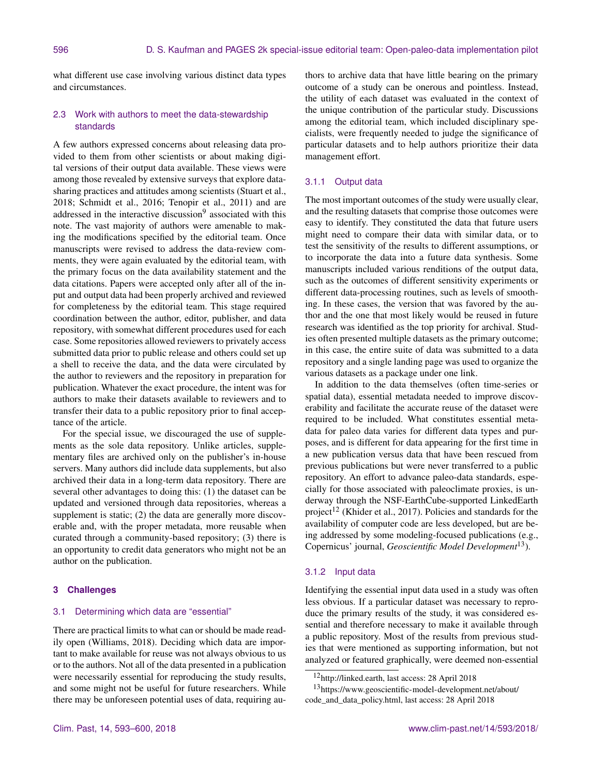what different use case involving various distinct data types and circumstances.

#### 2.3 Work with authors to meet the data-stewardship standards

A few authors expressed concerns about releasing data provided to them from other scientists or about making digital versions of their output data available. These views were among those revealed by extensive surveys that explore datasharing practices and attitudes among scientists (Stuart et al., 2018; Schmidt et al., 2016; Tenopir et al., 2011) and are addressed in the interactive discussion<sup>9</sup> associated with this note. The vast majority of authors were amenable to making the modifications specified by the editorial team. Once manuscripts were revised to address the data-review comments, they were again evaluated by the editorial team, with the primary focus on the data availability statement and the data citations. Papers were accepted only after all of the input and output data had been properly archived and reviewed for completeness by the editorial team. This stage required coordination between the author, editor, publisher, and data repository, with somewhat different procedures used for each case. Some repositories allowed reviewers to privately access submitted data prior to public release and others could set up a shell to receive the data, and the data were circulated by the author to reviewers and the repository in preparation for publication. Whatever the exact procedure, the intent was for authors to make their datasets available to reviewers and to transfer their data to a public repository prior to final acceptance of the article.

For the special issue, we discouraged the use of supplements as the sole data repository. Unlike articles, supplementary files are archived only on the publisher's in-house servers. Many authors did include data supplements, but also archived their data in a long-term data repository. There are several other advantages to doing this: (1) the dataset can be updated and versioned through data repositories, whereas a supplement is static; (2) the data are generally more discoverable and, with the proper metadata, more reusable when curated through a community-based repository; (3) there is an opportunity to credit data generators who might not be an author on the publication.

#### **3 Challenges**

#### 3.1 Determining which data are "essential"

There are practical limits to what can or should be made readily open (Williams, 2018). Deciding which data are important to make available for reuse was not always obvious to us or to the authors. Not all of the data presented in a publication were necessarily essential for reproducing the study results, and some might not be useful for future researchers. While there may be unforeseen potential uses of data, requiring authors to archive data that have little bearing on the primary outcome of a study can be onerous and pointless. Instead, the utility of each dataset was evaluated in the context of the unique contribution of the particular study. Discussions among the editorial team, which included disciplinary specialists, were frequently needed to judge the significance of particular datasets and to help authors prioritize their data management effort.

#### 3.1.1 Output data

The most important outcomes of the study were usually clear, and the resulting datasets that comprise those outcomes were easy to identify. They constituted the data that future users might need to compare their data with similar data, or to test the sensitivity of the results to different assumptions, or to incorporate the data into a future data synthesis. Some manuscripts included various renditions of the output data, such as the outcomes of different sensitivity experiments or different data-processing routines, such as levels of smoothing. In these cases, the version that was favored by the author and the one that most likely would be reused in future research was identified as the top priority for archival. Studies often presented multiple datasets as the primary outcome; in this case, the entire suite of data was submitted to a data repository and a single landing page was used to organize the various datasets as a package under one link.

In addition to the data themselves (often time-series or spatial data), essential metadata needed to improve discoverability and facilitate the accurate reuse of the dataset were required to be included. What constitutes essential metadata for paleo data varies for different data types and purposes, and is different for data appearing for the first time in a new publication versus data that have been rescued from previous publications but were never transferred to a public repository. An effort to advance paleo-data standards, especially for those associated with paleoclimate proxies, is underway through the NSF-EarthCube-supported LinkedEarth project<sup>12</sup> (Khider et al., 2017). Policies and standards for the availability of computer code are less developed, but are being addressed by some modeling-focused publications (e.g., Copernicus' journal, *Geoscientific Model Development*13).

#### 3.1.2 Input data

Identifying the essential input data used in a study was often less obvious. If a particular dataset was necessary to reproduce the primary results of the study, it was considered essential and therefore necessary to make it available through a public repository. Most of the results from previous studies that were mentioned as supporting information, but not analyzed or featured graphically, were deemed non-essential

<sup>12</sup>[http://linked.earth,](http://linked.earth) last access: 28 April 2018

<sup>13</sup>[https://www.geoscientific-model-development.net/about/](https://www.geoscientific-model-development.net/about/code_and_data_policy.html) [code\\_and\\_data\\_policy.html,](https://www.geoscientific-model-development.net/about/code_and_data_policy.html) last access: 28 April 2018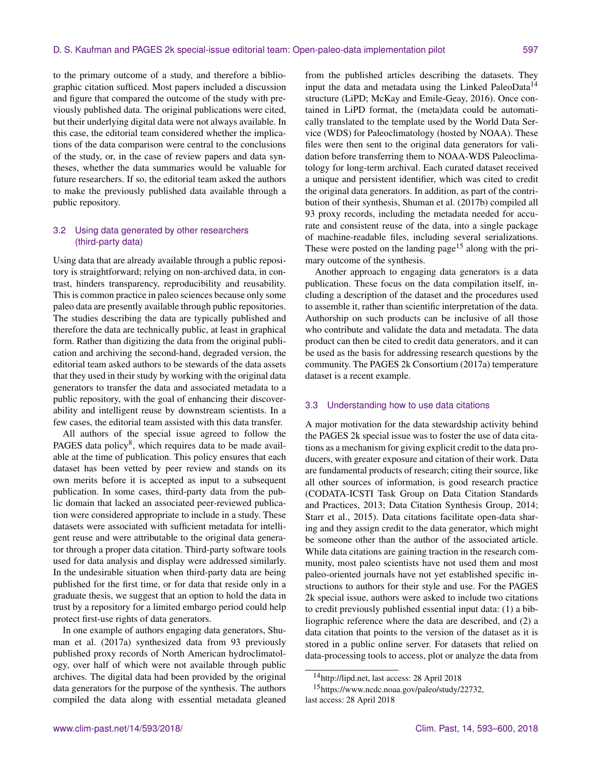to the primary outcome of a study, and therefore a bibliographic citation sufficed. Most papers included a discussion and figure that compared the outcome of the study with previously published data. The original publications were cited, but their underlying digital data were not always available. In this case, the editorial team considered whether the implications of the data comparison were central to the conclusions of the study, or, in the case of review papers and data syntheses, whether the data summaries would be valuable for future researchers. If so, the editorial team asked the authors to make the previously published data available through a public repository.

#### 3.2 Using data generated by other researchers (third-party data)

Using data that are already available through a public repository is straightforward; relying on non-archived data, in contrast, hinders transparency, reproducibility and reusability. This is common practice in paleo sciences because only some paleo data are presently available through public repositories. The studies describing the data are typically published and therefore the data are technically public, at least in graphical form. Rather than digitizing the data from the original publication and archiving the second-hand, degraded version, the editorial team asked authors to be stewards of the data assets that they used in their study by working with the original data generators to transfer the data and associated metadata to a public repository, with the goal of enhancing their discoverability and intelligent reuse by downstream scientists. In a few cases, the editorial team assisted with this data transfer.

All authors of the special issue agreed to follow the PAGES data policy<sup>8</sup>, which requires data to be made available at the time of publication. This policy ensures that each dataset has been vetted by peer review and stands on its own merits before it is accepted as input to a subsequent publication. In some cases, third-party data from the public domain that lacked an associated peer-reviewed publication were considered appropriate to include in a study. These datasets were associated with sufficient metadata for intelligent reuse and were attributable to the original data generator through a proper data citation. Third-party software tools used for data analysis and display were addressed similarly. In the undesirable situation when third-party data are being published for the first time, or for data that reside only in a graduate thesis, we suggest that an option to hold the data in trust by a repository for a limited embargo period could help protect first-use rights of data generators.

In one example of authors engaging data generators, Shuman et al. (2017a) synthesized data from 93 previously published proxy records of North American hydroclimatology, over half of which were not available through public archives. The digital data had been provided by the original data generators for the purpose of the synthesis. The authors compiled the data along with essential metadata gleaned

from the published articles describing the datasets. They input the data and metadata using the Linked PaleoData $14$ structure (LiPD; McKay and Emile-Geay, 2016). Once contained in LiPD format, the (meta)data could be automatically translated to the template used by the World Data Service (WDS) for Paleoclimatology (hosted by NOAA). These files were then sent to the original data generators for validation before transferring them to NOAA-WDS Paleoclimatology for long-term archival. Each curated dataset received a unique and persistent identifier, which was cited to credit the original data generators. In addition, as part of the contribution of their synthesis, Shuman et al. (2017b) compiled all 93 proxy records, including the metadata needed for accurate and consistent reuse of the data, into a single package of machine-readable files, including several serializations. These were posted on the landing page<sup>15</sup> along with the primary outcome of the synthesis.

Another approach to engaging data generators is a data publication. These focus on the data compilation itself, including a description of the dataset and the procedures used to assemble it, rather than scientific interpretation of the data. Authorship on such products can be inclusive of all those who contribute and validate the data and metadata. The data product can then be cited to credit data generators, and it can be used as the basis for addressing research questions by the community. The PAGES 2k Consortium (2017a) temperature dataset is a recent example.

#### 3.3 Understanding how to use data citations

A major motivation for the data stewardship activity behind the PAGES 2k special issue was to foster the use of data citations as a mechanism for giving explicit credit to the data producers, with greater exposure and citation of their work. Data are fundamental products of research; citing their source, like all other sources of information, is good research practice (CODATA-ICSTI Task Group on Data Citation Standards and Practices, 2013; Data Citation Synthesis Group, 2014; Starr et al., 2015). Data citations facilitate open-data sharing and they assign credit to the data generator, which might be someone other than the author of the associated article. While data citations are gaining traction in the research community, most paleo scientists have not used them and most paleo-oriented journals have not yet established specific instructions to authors for their style and use. For the PAGES 2k special issue, authors were asked to include two citations to credit previously published essential input data: (1) a bibliographic reference where the data are described, and (2) a data citation that points to the version of the dataset as it is stored in a public online server. For datasets that relied on data-processing tools to access, plot or analyze the data from

<sup>14</sup>[http://lipd.net,](http://lipd.net) last access: 28 April 2018

<sup>15</sup>[https://www.ncdc.noaa.gov/paleo/study/22732,](https://www.ncdc.noaa.gov/paleo/study/22732) last access: 28 April 2018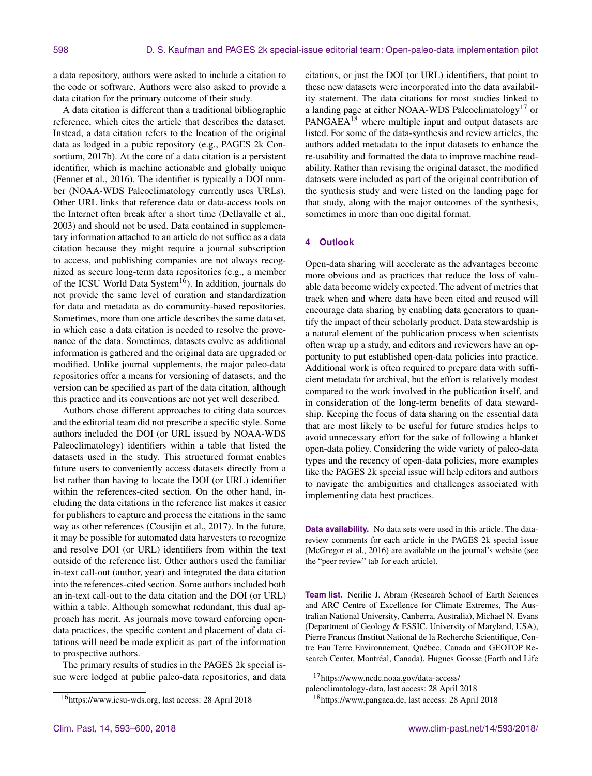a data repository, authors were asked to include a citation to the code or software. Authors were also asked to provide a data citation for the primary outcome of their study.

A data citation is different than a traditional bibliographic reference, which cites the article that describes the dataset. Instead, a data citation refers to the location of the original data as lodged in a pubic repository (e.g., PAGES 2k Consortium, 2017b). At the core of a data citation is a persistent identifier, which is machine actionable and globally unique (Fenner et al., 2016). The identifier is typically a DOI number (NOAA-WDS Paleoclimatology currently uses URLs). Other URL links that reference data or data-access tools on the Internet often break after a short time (Dellavalle et al., 2003) and should not be used. Data contained in supplementary information attached to an article do not suffice as a data citation because they might require a journal subscription to access, and publishing companies are not always recognized as secure long-term data repositories (e.g., a member of the ICSU World Data System<sup>16</sup>). In addition, journals do not provide the same level of curation and standardization for data and metadata as do community-based repositories. Sometimes, more than one article describes the same dataset, in which case a data citation is needed to resolve the provenance of the data. Sometimes, datasets evolve as additional information is gathered and the original data are upgraded or modified. Unlike journal supplements, the major paleo-data repositories offer a means for versioning of datasets, and the version can be specified as part of the data citation, although this practice and its conventions are not yet well described.

Authors chose different approaches to citing data sources and the editorial team did not prescribe a specific style. Some authors included the DOI (or URL issued by NOAA-WDS Paleoclimatology) identifiers within a table that listed the datasets used in the study. This structured format enables future users to conveniently access datasets directly from a list rather than having to locate the DOI (or URL) identifier within the references-cited section. On the other hand, including the data citations in the reference list makes it easier for publishers to capture and process the citations in the same way as other references (Cousijin et al., 2017). In the future, it may be possible for automated data harvesters to recognize and resolve DOI (or URL) identifiers from within the text outside of the reference list. Other authors used the familiar in-text call-out (author, year) and integrated the data citation into the references-cited section. Some authors included both an in-text call-out to the data citation and the DOI (or URL) within a table. Although somewhat redundant, this dual approach has merit. As journals move toward enforcing opendata practices, the specific content and placement of data citations will need be made explicit as part of the information to prospective authors.

The primary results of studies in the PAGES 2k special issue were lodged at public paleo-data repositories, and data

Clim. Past, 14, 593[–600,](#page-2-1) 2018 www.clim-past.net/14/593/2018/

citations, or just the DOI (or URL) identifiers, that point to these new datasets were incorporated into the data availability statement. The data citations for most studies linked to a landing page at either NOAA-WDS Paleoclimatology<sup>17</sup> or PANGAEA<sup>18</sup> where multiple input and output datasets are listed. For some of the data-synthesis and review articles, the authors added metadata to the input datasets to enhance the re-usability and formatted the data to improve machine readability. Rather than revising the original dataset, the modified datasets were included as part of the original contribution of the synthesis study and were listed on the landing page for that study, along with the major outcomes of the synthesis, sometimes in more than one digital format.

#### **4 Outlook**

Open-data sharing will accelerate as the advantages become more obvious and as practices that reduce the loss of valuable data become widely expected. The advent of metrics that track when and where data have been cited and reused will encourage data sharing by enabling data generators to quantify the impact of their scholarly product. Data stewardship is a natural element of the publication process when scientists often wrap up a study, and editors and reviewers have an opportunity to put established open-data policies into practice. Additional work is often required to prepare data with sufficient metadata for archival, but the effort is relatively modest compared to the work involved in the publication itself, and in consideration of the long-term benefits of data stewardship. Keeping the focus of data sharing on the essential data that are most likely to be useful for future studies helps to avoid unnecessary effort for the sake of following a blanket open-data policy. Considering the wide variety of paleo-data types and the recency of open-data policies, more examples like the PAGES 2k special issue will help editors and authors to navigate the ambiguities and challenges associated with implementing data best practices.

**Data availability.** No data sets were used in this article. The datareview comments for each article in the PAGES 2k special issue (McGregor et al., 2016) are available on the journal's website (see the "peer review" tab for each article).

**Team list.** Nerilie J. Abram (Research School of Earth Sciences and ARC Centre of Excellence for Climate Extremes, The Australian National University, Canberra, Australia), Michael N. Evans (Department of Geology & ESSIC, University of Maryland, USA), Pierre Francus (Institut National de la Recherche Scientifique, Centre Eau Terre Environnement, Québec, Canada and GEOTOP Research Center, Montréal, Canada), Hugues Goosse (Earth and Life

<sup>16</sup>[https://www.icsu-wds.org,](https://www.icsu-wds.org) last access: 28 April 2018

<sup>17</sup>[https://www.ncdc.noaa.gov/data-access/](https://www.ncdc.noaa.gov/data-access/paleoclimatology-data)

[paleoclimatology-data,](https://www.ncdc.noaa.gov/data-access/paleoclimatology-data) last access: 28 April 2018

<sup>18</sup>[https://www.pangaea.de,](https://www.pangaea.de) last access: 28 April 2018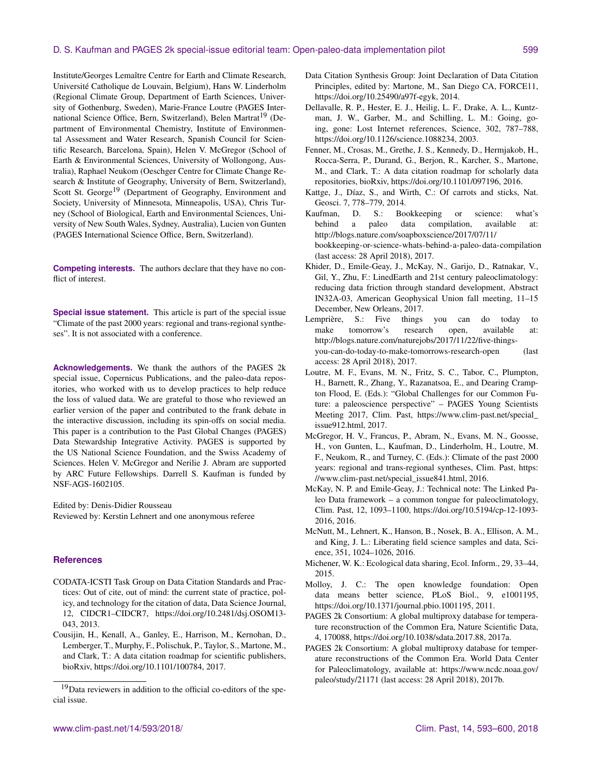Institute/Georges Lemaître Centre for Earth and Climate Research, Université Catholique de Louvain, Belgium), Hans W. Linderholm (Regional Climate Group, Department of Earth Sciences, University of Gothenburg, Sweden), Marie-France Loutre (PAGES International Science Office, Bern, Switzerland), Belen Martrat<sup>19</sup> (Department of Environmental Chemistry, Institute of Environmental Assessment and Water Research, Spanish Council for Scientific Research, Barcelona, Spain), Helen V. McGregor (School of Earth & Environmental Sciences, University of Wollongong, Australia), Raphael Neukom (Oeschger Centre for Climate Change Research & Institute of Geography, University of Bern, Switzerland), Scott St. George<sup>19</sup> (Department of Geography, Environment and Society, University of Minnesota, Minneapolis, USA), Chris Turney (School of Biological, Earth and Environmental Sciences, University of New South Wales, Sydney, Australia), Lucien von Gunten (PAGES International Science Office, Bern, Switzerland).

**Competing interests.** The authors declare that they have no conflict of interest.

**Special issue statement.** This article is part of the special issue "Climate of the past 2000 years: regional and trans-regional syntheses". It is not associated with a conference.

**Acknowledgements.** We thank the authors of the PAGES 2k special issue, Copernicus Publications, and the paleo-data repositories, who worked with us to develop practices to help reduce the loss of valued data. We are grateful to those who reviewed an earlier version of the paper and contributed to the frank debate in the interactive discussion, including its spin-offs on social media. This paper is a contribution to the Past Global Changes (PAGES) Data Stewardship Integrative Activity. PAGES is supported by the US National Science Foundation, and the Swiss Academy of Sciences. Helen V. McGregor and Nerilie J. Abram are supported by ARC Future Fellowships. Darrell S. Kaufman is funded by NSF-AGS-1602105.

Edited by: Denis-Didier Rousseau Reviewed by: Kerstin Lehnert and one anonymous referee

#### **References**

- CODATA-ICSTI Task Group on Data Citation Standards and Practices: Out of cite, out of mind: the current state of practice, policy, and technology for the citation of data, Data Science Journal, 12, CIDCR1–CIDCR7, https://doi.org[/10.2481/dsj.OSOM13-](https://doi.org/10.2481/dsj.OSOM13-043) [043,](https://doi.org/10.2481/dsj.OSOM13-043) 2013.
- Cousijin, H., Kenall, A., Ganley, E., Harrison, M., Kernohan, D., Lemberger, T., Murphy, F., Polischuk, P., Taylor, S., Martone, M., and Clark, T.: A data citation roadmap for scientific publishers, bioRxiv, https://doi.org[/10.1101/100784,](https://doi.org/10.1101/100784) 2017.
- Data Citation Synthesis Group: Joint Declaration of Data Citation Principles, edited by: Martone, M., San Diego CA, FORCE11, https://doi.org[/10.25490/a97f-egyk,](https://doi.org/10.25490/a97f-egyk) 2014.
- Dellavalle, R. P., Hester, E. J., Heilig, L. F., Drake, A. L., Kuntzman, J. W., Garber, M., and Schilling, L. M.: Going, going, gone: Lost Internet references, Science, 302, 787–788, https://doi.org[/10.1126/science.1088234,](https://doi.org/10.1126/science.1088234) 2003.
- Fenner, M., Crosas, M., Grethe, J. S., Kennedy, D., Hermjakob, H., Rocca-Serra, P., Durand, G., Berjon, R., Karcher, S., Martone, M., and Clark, T.: A data citation roadmap for scholarly data repositories, bioRxiv, https://doi.org[/10.1101/097196,](https://doi.org/10.1101/097196) 2016.
- Kattge, J., Díaz, S., and Wirth, C.: Of carrots and sticks, Nat. Geosci. 7, 778–779, 2014.
- Kaufman, D. S.: Bookkeeping or science: what's behind a paleo data compilation, available at: [http://blogs.nature.com/soapboxscience/2017/07/11/](http://blogs.nature.com/soapboxscience/2017/07/11/bookkeeping-or-science-whats-behind-a-paleo-data-compilation) [bookkeeping-or-science-whats-behind-a-paleo-data-compilation](http://blogs.nature.com/soapboxscience/2017/07/11/bookkeeping-or-science-whats-behind-a-paleo-data-compilation) (last access: 28 April 2018), 2017.
- Khider, D., Emile-Geay, J., McKay, N., Garijo, D., Ratnakar, V., Gil, Y., Zhu, F.: LinedEarth and 21st century paleoclimatology: reducing data friction through standard development, Abstract IN32A-03, American Geophysical Union fall meeting, 11–15 December, New Orleans, 2017.
- Lemprière, S.: Five things you can do today to make tomorrow's research open, available at: [http://blogs.nature.com/naturejobs/2017/11/22/five-things](http://blogs.nature.com/naturejobs/2017/11/22/five-things-you-can-do-today-to-make-tomorrows-research-open)[you-can-do-today-to-make-tomorrows-research-open](http://blogs.nature.com/naturejobs/2017/11/22/five-things-you-can-do-today-to-make-tomorrows-research-open) (last access: 28 April 2018), 2017.
- Loutre, M. F., Evans, M. N., Fritz, S. C., Tabor, C., Plumpton, H., Barnett, R., Zhang, Y., Razanatsoa, E., and Dearing Crampton Flood, E. (Eds.): "Global Challenges for our Common Future: a paleoscience perspective" – PAGES Young Scientists Meeting 2017, Clim. Past, [https://www.clim-past.net/special\\_](https://www.clim-past.net/special_issue912.html) [issue912.html,](https://www.clim-past.net/special_issue912.html) 2017.
- McGregor, H. V., Francus, P., Abram, N., Evans, M. N., Goosse, H., von Gunten, L., Kaufman, D., Linderholm, H., Loutre, M. F., Neukom, R., and Turney, C. (Eds.): Climate of the past 2000 years: regional and trans-regional syntheses, Clim. Past, [https:](https://www.clim-past.net/special_issue841.html) [//www.clim-past.net/special\\_issue841.html,](https://www.clim-past.net/special_issue841.html) 2016.
- McKay, N. P. and Emile-Geay, J.: Technical note: The Linked Paleo Data framework – a common tongue for paleoclimatology, Clim. Past, 12, 1093–1100, https://doi.org[/10.5194/cp-12-1093-](https://doi.org/10.5194/cp-12-1093-2016) [2016,](https://doi.org/10.5194/cp-12-1093-2016) 2016.
- McNutt, M., Lehnert, K., Hanson, B., Nosek, B. A., Ellison, A. M., and King, J. L.: Liberating field science samples and data, Science, 351, 1024–1026, 2016.
- Michener, W. K.: Ecological data sharing, Ecol. Inform., 29, 33–44, 2015.
- Molloy, J. C.: The open knowledge foundation: Open data means better science, PLoS Biol., 9, e1001195, https://doi.org[/10.1371/journal.pbio.1001195,](https://doi.org/10.1371/journal.pbio.1001195) 2011.
- PAGES 2k Consortium: A global multiproxy database for temperature reconstruction of the Common Era, Nature Scientific Data, 4, 170088, https://doi.org[/10.1038/sdata.2017.88,](https://doi.org/10.1038/sdata.2017.88) 2017a.
- PAGES 2k Consortium: A global multiproxy database for temperature reconstructions of the Common Era. World Data Center for Paleoclimatology, available at: [https://www.ncdc.noaa.gov/](https://www.ncdc.noaa.gov/paleo/study/21171) [paleo/study/21171](https://www.ncdc.noaa.gov/paleo/study/21171) (last access: 28 April 2018), 2017b.

<sup>19</sup>Data reviewers in addition to the official co-editors of the special issue.